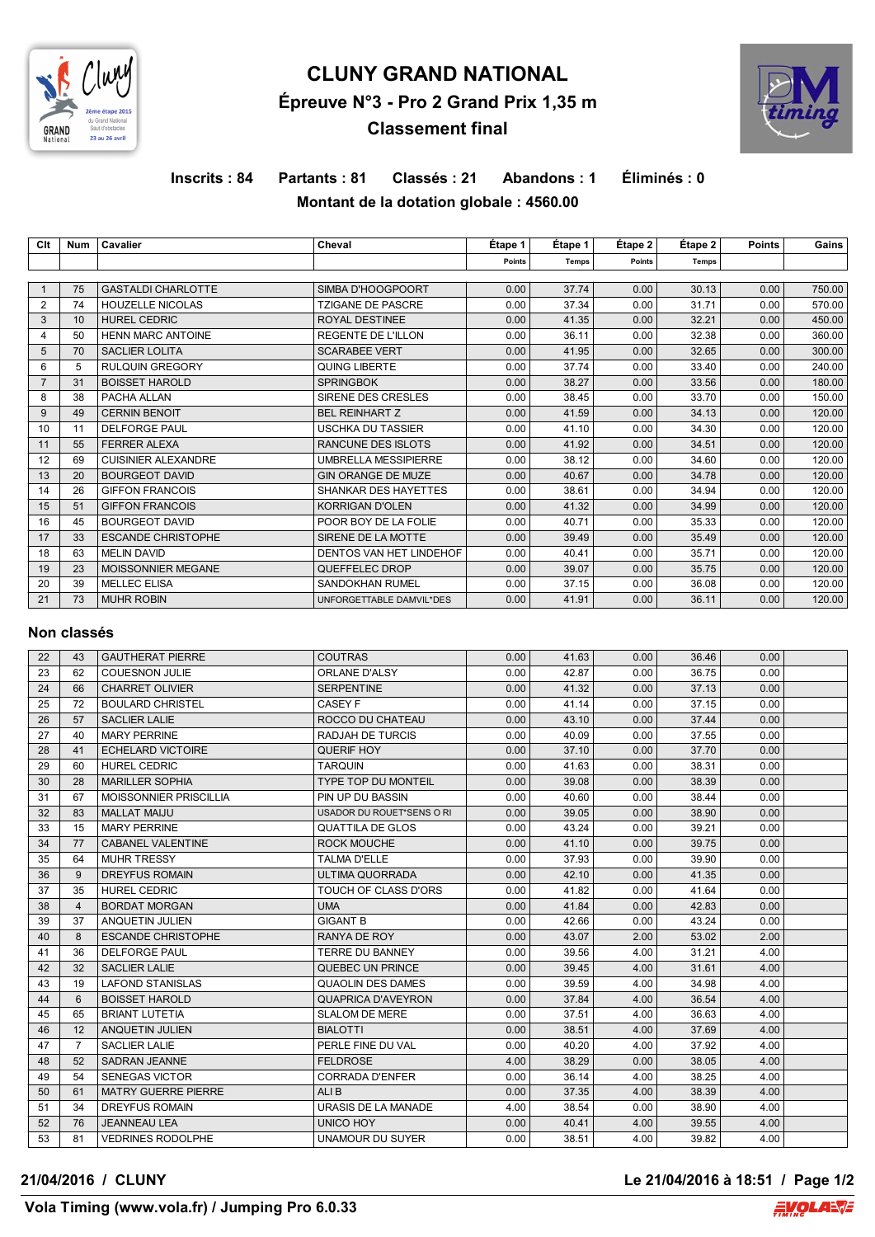

# **CLUNY GRAND NATIONAL Épreuve N°3 - Pro 2 Grand Prix 1,35 m Classement final**



## **Inscrits : 84 Partants : 81 Classés : 21 Abandons : 1 Éliminés : 0 Montant de la dotation globale : 4560.00**

| Clt            | <b>Num</b> | Cavalier                   | Cheval                      | Etape 1 | Etape 1 | Etape 2 | Étape 2 | <b>Points</b> | Gains  |
|----------------|------------|----------------------------|-----------------------------|---------|---------|---------|---------|---------------|--------|
|                |            |                            |                             | Points  | Temps   | Points  | Temps   |               |        |
|                |            |                            |                             |         |         |         |         |               |        |
|                | 75         | <b>GASTALDI CHARLOTTE</b>  | SIMBA D'HOOGPOORT           | 0.00    | 37.74   | 0.00    | 30.13   | 0.00          | 750.00 |
| $\overline{2}$ | 74         | <b>HOUZELLE NICOLAS</b>    | <b>TZIGANE DE PASCRE</b>    | 0.00    | 37.34   | 0.00    | 31.71   | 0.00          | 570.00 |
| 3              | 10         | <b>HUREL CEDRIC</b>        | ROYAL DESTINEE              | 0.00    | 41.35   | 0.00    | 32.21   | 0.00          | 450.00 |
| 4              | 50         | <b>HENN MARC ANTOINE</b>   | <b>REGENTE DE L'ILLON</b>   | 0.00    | 36.11   | 0.00    | 32.38   | 0.00          | 360.00 |
| 5              | 70         | <b>SACLIER LOLITA</b>      | <b>SCARABEE VERT</b>        | 0.00    | 41.95   | 0.00    | 32.65   | 0.00          | 300.00 |
| 6              | 5          | <b>RULQUIN GREGORY</b>     | <b>QUING LIBERTE</b>        | 0.00    | 37.74   | 0.00    | 33.40   | 0.00          | 240.00 |
|                | 31         | <b>BOISSET HAROLD</b>      | <b>SPRINGBOK</b>            | 0.00    | 38.27   | 0.00    | 33.56   | 0.00          | 180.00 |
| 8              | 38         | PACHA ALLAN                | SIRENE DES CRESLES          | 0.00    | 38.45   | 0.00    | 33.70   | 0.00          | 150.00 |
| 9              | 49         | <b>CERNIN BENOIT</b>       | <b>BEL REINHART Z</b>       | 0.00    | 41.59   | 0.00    | 34.13   | 0.00          | 120.00 |
| 10             | 11         | <b>DELFORGE PAUL</b>       | <b>USCHKA DU TASSIER</b>    | 0.00    | 41.10   | 0.00    | 34.30   | 0.00          | 120.00 |
| 11             | 55         | <b>FERRER ALEXA</b>        | RANCUNE DES ISLOTS          | 0.00    | 41.92   | 0.00    | 34.51   | 0.00          | 120.00 |
| 12             | 69         | <b>CUISINIER ALEXANDRE</b> | <b>UMBRELLA MESSIPIERRE</b> | 0.00    | 38.12   | 0.00    | 34.60   | 0.00          | 120.00 |
| 13             | 20         | <b>BOURGEOT DAVID</b>      | <b>GIN ORANGE DE MUZE</b>   | 0.00    | 40.67   | 0.00    | 34.78   | 0.00          | 120.00 |
| 14             | 26         | <b>GIFFON FRANCOIS</b>     | <b>SHANKAR DES HAYETTES</b> | 0.00    | 38.61   | 0.00    | 34.94   | 0.00          | 120.00 |
| 15             | 51         | <b>GIFFON FRANCOIS</b>     | <b>KORRIGAN D'OLEN</b>      | 0.00    | 41.32   | 0.00    | 34.99   | 0.00          | 120.00 |
| 16             | 45         | <b>BOURGEOT DAVID</b>      | POOR BOY DE LA FOLIE        | 0.00    | 40.71   | 0.00    | 35.33   | 0.00          | 120.00 |
| 17             | 33         | <b>ESCANDE CHRISTOPHE</b>  | SIRENE DE LA MOTTE          | 0.00    | 39.49   | 0.00    | 35.49   | 0.00          | 120.00 |
| 18             | 63         | <b>MELIN DAVID</b>         | DENTOS VAN HET LINDEHOF     | 0.00    | 40.41   | 0.00    | 35.71   | 0.00          | 120.00 |
| 19             | 23         | MOISSONNIER MEGANE         | QUEFFELEC DROP              | 0.00    | 39.07   | 0.00    | 35.75   | 0.00          | 120.00 |
| 20             | 39         | <b>MELLEC ELISA</b>        | <b>SANDOKHAN RUMEL</b>      | 0.00    | 37.15   | 0.00    | 36.08   | 0.00          | 120.00 |
| 21             | 73         | <b>MUHR ROBIN</b>          | UNFORGETTABLE DAMVIL*DES    | 0.00    | 41.91   | 0.00    | 36.11   | 0.00          | 120.00 |

#### **Non classés**

| 22 | 43             | <b>GAUTHERAT PIERRE</b>       | <b>COUTRAS</b>             | 0.00 | 41.63 | 0.00 | 36.46 | 0.00 |  |
|----|----------------|-------------------------------|----------------------------|------|-------|------|-------|------|--|
| 23 | 62             | <b>COUESNON JULIE</b>         | <b>ORLANE D'ALSY</b>       | 0.00 | 42.87 | 0.00 | 36.75 | 0.00 |  |
| 24 | 66             | <b>CHARRET OLIVIER</b>        | <b>SERPENTINE</b>          | 0.00 | 41.32 | 0.00 | 37.13 | 0.00 |  |
| 25 | 72             | <b>BOULARD CHRISTEL</b>       | <b>CASEY F</b>             | 0.00 | 41.14 | 0.00 | 37.15 | 0.00 |  |
| 26 | 57             | <b>SACLIER LALIE</b>          | ROCCO DU CHATEAU           | 0.00 | 43.10 | 0.00 | 37.44 | 0.00 |  |
| 27 | 40             | <b>MARY PERRINE</b>           | RADJAH DE TURCIS           | 0.00 | 40.09 | 0.00 | 37.55 | 0.00 |  |
| 28 | 41             | <b>ECHELARD VICTOIRE</b>      | QUERIF HOY                 | 0.00 | 37.10 | 0.00 | 37.70 | 0.00 |  |
| 29 | 60             | <b>HUREL CEDRIC</b>           | <b>TARQUIN</b>             | 0.00 | 41.63 | 0.00 | 38.31 | 0.00 |  |
| 30 | 28             | <b>MARILLER SOPHIA</b>        | <b>TYPE TOP DU MONTEIL</b> | 0.00 | 39.08 | 0.00 | 38.39 | 0.00 |  |
| 31 | 67             | <b>MOISSONNIER PRISCILLIA</b> | PIN UP DU BASSIN           | 0.00 | 40.60 | 0.00 | 38.44 | 0.00 |  |
| 32 | 83             | <b>MALLAT MAIJU</b>           | USADOR DU ROUET*SENS O RI  | 0.00 | 39.05 | 0.00 | 38.90 | 0.00 |  |
| 33 | 15             | <b>MARY PERRINE</b>           | <b>QUATTILA DE GLOS</b>    | 0.00 | 43.24 | 0.00 | 39.21 | 0.00 |  |
| 34 | 77             | <b>CABANEL VALENTINE</b>      | <b>ROCK MOUCHE</b>         | 0.00 | 41.10 | 0.00 | 39.75 | 0.00 |  |
| 35 | 64             | <b>MUHR TRESSY</b>            | <b>TALMA D'ELLE</b>        | 0.00 | 37.93 | 0.00 | 39.90 | 0.00 |  |
| 36 | 9              | <b>DREYFUS ROMAIN</b>         | <b>ULTIMA QUORRADA</b>     | 0.00 | 42.10 | 0.00 | 41.35 | 0.00 |  |
| 37 | 35             | <b>HUREL CEDRIC</b>           | TOUCH OF CLASS D'ORS       | 0.00 | 41.82 | 0.00 | 41.64 | 0.00 |  |
| 38 | $\overline{4}$ | <b>BORDAT MORGAN</b>          | <b>UMA</b>                 | 0.00 | 41.84 | 0.00 | 42.83 | 0.00 |  |
| 39 | 37             | ANQUETIN JULIEN               | <b>GIGANT B</b>            | 0.00 | 42.66 | 0.00 | 43.24 | 0.00 |  |
| 40 | 8              | <b>ESCANDE CHRISTOPHE</b>     | RANYA DE ROY               | 0.00 | 43.07 | 2.00 | 53.02 | 2.00 |  |
| 41 | 36             | <b>DELFORGE PAUL</b>          | <b>TERRE DU BANNEY</b>     | 0.00 | 39.56 | 4.00 | 31.21 | 4.00 |  |
| 42 | 32             | <b>SACLIER LALIE</b>          | QUEBEC UN PRINCE           | 0.00 | 39.45 | 4.00 | 31.61 | 4.00 |  |
| 43 | 19             | <b>LAFOND STANISLAS</b>       | <b>QUAOLIN DES DAMES</b>   | 0.00 | 39.59 | 4.00 | 34.98 | 4.00 |  |
| 44 | 6              | <b>BOISSET HAROLD</b>         | <b>QUAPRICA D'AVEYRON</b>  | 0.00 | 37.84 | 4.00 | 36.54 | 4.00 |  |
| 45 | 65             | <b>BRIANT LUTETIA</b>         | <b>SLALOM DE MERE</b>      | 0.00 | 37.51 | 4.00 | 36.63 | 4.00 |  |
| 46 | 12             | <b>ANQUETIN JULIEN</b>        | <b>BIALOTTI</b>            | 0.00 | 38.51 | 4.00 | 37.69 | 4.00 |  |
| 47 | $\overline{7}$ | <b>SACLIER LALIE</b>          | PERLE FINE DU VAL          | 0.00 | 40.20 | 4.00 | 37.92 | 4.00 |  |
| 48 | 52             | <b>SADRAN JEANNE</b>          | <b>FELDROSE</b>            | 4.00 | 38.29 | 0.00 | 38.05 | 4.00 |  |
| 49 | 54             | <b>SENEGAS VICTOR</b>         | <b>CORRADA D'ENFER</b>     | 0.00 | 36.14 | 4.00 | 38.25 | 4.00 |  |
| 50 | 61             | <b>MATRY GUERRE PIERRE</b>    | ALI B                      | 0.00 | 37.35 | 4.00 | 38.39 | 4.00 |  |
| 51 | 34             | <b>DREYFUS ROMAIN</b>         | URASIS DE LA MANADE        | 4.00 | 38.54 | 0.00 | 38.90 | 4.00 |  |
| 52 | 76             | <b>JEANNEAU LEA</b>           | UNICO HOY                  | 0.00 | 40.41 | 4.00 | 39.55 | 4.00 |  |
| 53 | 81             | <b>VEDRINES RODOLPHE</b>      | UNAMOUR DU SUYER           | 0.00 | 38.51 | 4.00 | 39.82 | 4.00 |  |

#### **21/04/2016 / CLUNY Le 21/04/2016 à 18:51 / Page 1/2**